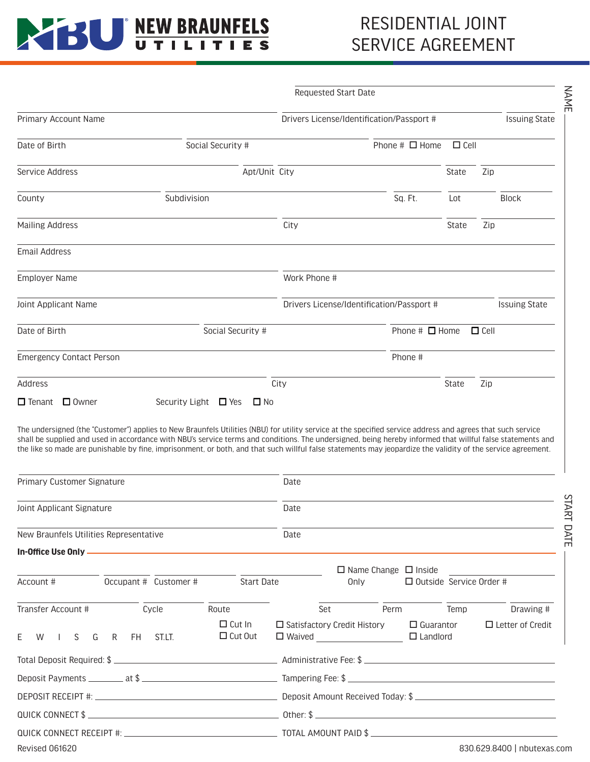## **REW BRAUNFELS**

### RESIDENTIAL JOINT SERVICE AGREEMENT

|                                 | <b>Requested Start Date</b>               |                                           |                                           |              |                      |                      |  |
|---------------------------------|-------------------------------------------|-------------------------------------------|-------------------------------------------|--------------|----------------------|----------------------|--|
| Primary Account Name            |                                           | Drivers License/Identification/Passport # |                                           |              | <b>Issuing State</b> |                      |  |
| Date of Birth                   | Social Security #                         |                                           | Phone $\#$ $\Box$ Home                    | $\Box$ Cell  |                      |                      |  |
| Service Address                 | Apt/Unit City                             |                                           |                                           | <b>State</b> | Zip                  |                      |  |
| County                          | Subdivision                               |                                           | Sq. Ft.                                   | Lot          |                      | <b>Block</b>         |  |
| <b>Mailing Address</b>          |                                           | City                                      |                                           | State        | Zip                  |                      |  |
| <b>Email Address</b>            |                                           |                                           |                                           |              |                      |                      |  |
| <b>Employer Name</b>            |                                           | Work Phone #                              |                                           |              |                      |                      |  |
| Joint Applicant Name            |                                           |                                           | Drivers License/Identification/Passport # |              |                      | <b>Issuing State</b> |  |
| Date of Birth                   | Social Security #                         |                                           |                                           |              |                      |                      |  |
| <b>Emergency Contact Person</b> |                                           |                                           | Phone #                                   |              |                      |                      |  |
| Address                         |                                           | City                                      |                                           | State        | Zip                  |                      |  |
| $\Box$ Owner<br>$\Box$ Tenant   | Security Light $\Box$ Yes<br>$\square$ No |                                           |                                           |              |                      |                      |  |

The undersigned (the "Customer") applies to New Braunfels Utilities (NBU) for utility service at the specified service address and agrees that such service shall be supplied and used in accordance with NBU's service terms and conditions. The undersigned, being hereby informed that willful false statements and the like so made are punishable by fine, imprisonment, or both, and that such willful false statements may jeopardize the validity of the service agreement.

| Primary Customer Signature<br>Joint Applicant Signature<br>New Braunfels Utilities Representative |  |  |                                 | Date<br>Date                                                                                                 |  |  |                                                                    |                             |      |
|---------------------------------------------------------------------------------------------------|--|--|---------------------------------|--------------------------------------------------------------------------------------------------------------|--|--|--------------------------------------------------------------------|-----------------------------|------|
|                                                                                                   |  |  |                                 |                                                                                                              |  |  |                                                                    |                             | Date |
|                                                                                                   |  |  |                                 |                                                                                                              |  |  |                                                                    |                             |      |
| Account # 0ccupant # Customer # Start Date                                                        |  |  |                                 |                                                                                                              |  |  | $\Box$ Name Change $\Box$ Inside<br>$\Box$ Outside Service Order # |                             |      |
| Transfer Account # Cycle                                                                          |  |  | Route                           |                                                                                                              |  |  |                                                                    | Set Perm Temp Drawing #     |      |
| E W I S G R FH ST.LT.                                                                             |  |  | $\Box$ Cut In<br>$\Box$ Cut Out | $\Box$ Satisfactory Credit History $\Box$ Guarantor $\Box$ Letter of Credit<br>$\Box$ Waived $\Box$ Landlord |  |  |                                                                    |                             |      |
|                                                                                                   |  |  |                                 |                                                                                                              |  |  |                                                                    |                             |      |
|                                                                                                   |  |  |                                 |                                                                                                              |  |  |                                                                    |                             |      |
|                                                                                                   |  |  |                                 |                                                                                                              |  |  |                                                                    |                             |      |
|                                                                                                   |  |  |                                 |                                                                                                              |  |  |                                                                    |                             |      |
|                                                                                                   |  |  |                                 |                                                                                                              |  |  |                                                                    |                             |      |
| Revised 061620                                                                                    |  |  |                                 |                                                                                                              |  |  |                                                                    | 830.629.8400   nbutexas.com |      |
|                                                                                                   |  |  |                                 |                                                                                                              |  |  |                                                                    |                             |      |

**START DATE** START DATE